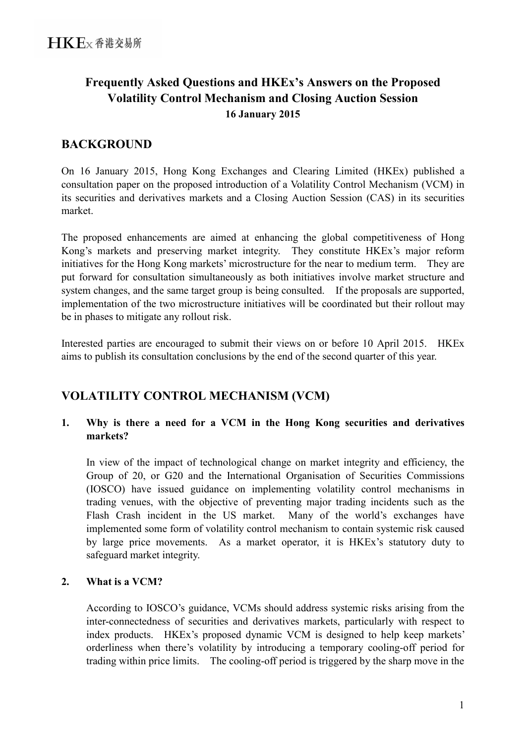# **Frequently Asked Questions and HKEx's Answers on the Proposed Volatility Control Mechanism and Closing Auction Session 16 January 2015**

## **BACKGROUND**

On 16 January 2015, Hong Kong Exchanges and Clearing Limited (HKEx) published a consultation paper on the proposed introduction of a Volatility Control Mechanism (VCM) in its securities and derivatives markets and a Closing Auction Session (CAS) in its securities market.

The proposed enhancements are aimed at enhancing the global competitiveness of Hong Kong's markets and preserving market integrity. They constitute HKEx's major reform initiatives for the Hong Kong markets' microstructure for the near to medium term. They are put forward for consultation simultaneously as both initiatives involve market structure and system changes, and the same target group is being consulted. If the proposals are supported, implementation of the two microstructure initiatives will be coordinated but their rollout may be in phases to mitigate any rollout risk.

Interested parties are encouraged to submit their views on or before 10 April 2015. HKEx aims to publish its consultation conclusions by the end of the second quarter of this year.

## **VOLATILITY CONTROL MECHANISM (VCM)**

### **1. Why is there a need for a VCM in the Hong Kong securities and derivatives markets?**

In view of the impact of technological change on market integrity and efficiency, the Group of 20, or G20 and the International Organisation of Securities Commissions (IOSCO) have issued guidance on implementing volatility control mechanisms in trading venues, with the objective of preventing major trading incidents such as the Flash Crash incident in the US market. Many of the world's exchanges have implemented some form of volatility control mechanism to contain systemic risk caused by large price movements. As a market operator, it is HKEx's statutory duty to safeguard market integrity.

## **2. What is a VCM?**

<span id="page-0-0"></span>According to IOSCO's guidance, VCMs should address systemic risks arising from the inter-connectedness of securities and derivatives markets, particularly with respect to index products. HKEx's proposed dynamic VCM is designed to help keep markets' orderliness when there's volatility by introducing a temporary cooling-off period for trading within price limits. The cooling-off period is triggered by the sharp move in the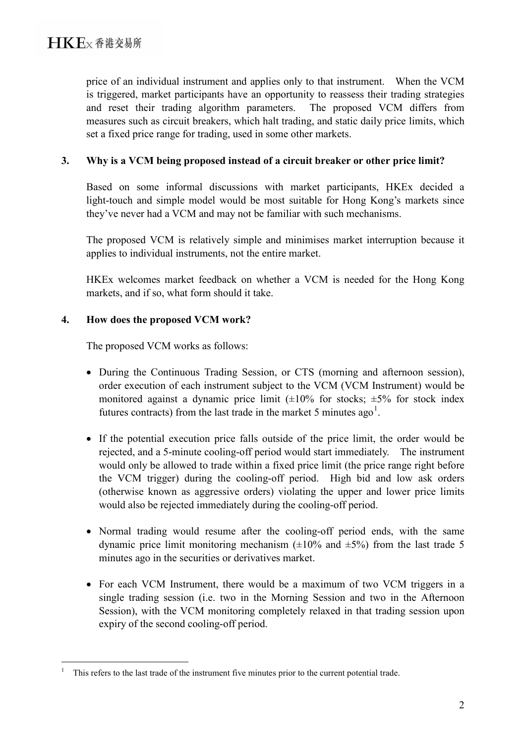price of an individual instrument and applies only to that instrument. When the VCM is triggered, market participants have an opportunity to reassess their trading strategies and reset their trading algorithm parameters. The proposed VCM differs from measures such as circuit breakers, which halt trading, and static daily price limits, which set a fixed price range for trading, used in some other markets.

#### **3. Why is a VCM being proposed instead of a circuit breaker or other price limit?**

Based on some informal discussions with market participants, HKEx decided a light-touch and simple model would be most suitable for Hong Kong's markets since they've never had a VCM and may not be familiar with such mechanisms.

The proposed VCM is relatively simple and minimises market interruption because it applies to individual instruments, not the entire market.

HKEx welcomes market feedback on whether a VCM is needed for the Hong Kong markets, and if so, what form should it take.

### **4. How does the proposed VCM work?**

The proposed VCM works as follows:

- During the Continuous Trading Session, or CTS (morning and afternoon session), order execution of each instrument subject to the VCM (VCM Instrument) would be monitored against a dynamic price limit  $(\pm 10\%$  for stocks;  $\pm 5\%$  for stock index futures contracts) from the last trade in the market 5 minutes ago<sup>[1](#page-0-0)</sup>.
- If the potential execution price falls outside of the price limit, the order would be rejected, and a 5-minute cooling-off period would start immediately. The instrument would only be allowed to trade within a fixed price limit (the price range right before the VCM trigger) during the cooling-off period. High bid and low ask orders (otherwise known as aggressive orders) violating the upper and lower price limits would also be rejected immediately during the cooling-off period.
- Normal trading would resume after the cooling-off period ends, with the same dynamic price limit monitoring mechanism  $(\pm 10\%$  and  $\pm 5\%)$  from the last trade 5 minutes ago in the securities or derivatives market.
- For each VCM Instrument, there would be a maximum of two VCM triggers in a single trading session (i.e. two in the Morning Session and two in the Afternoon Session), with the VCM monitoring completely relaxed in that trading session upon expiry of the second cooling-off period.

<span id="page-1-0"></span> $\frac{1}{1}$ This refers to the last trade of the instrument five minutes prior to the current potential trade.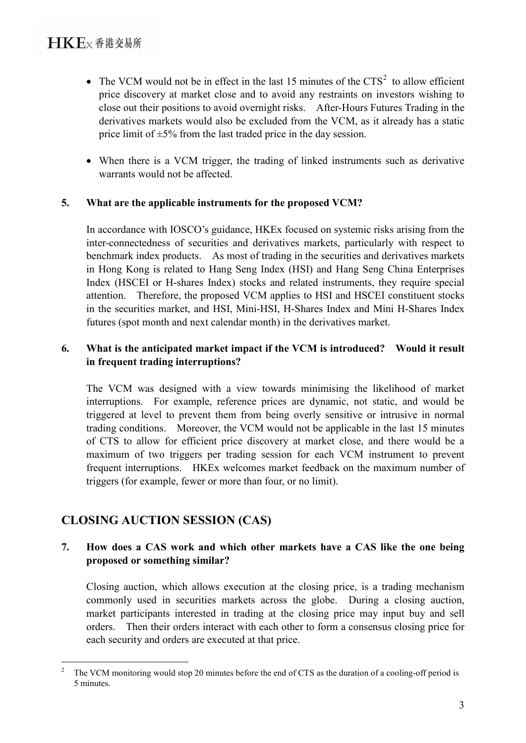- The VCM would not be in effect in the last 15 minutes of the  $CTS<sup>2</sup>$  $CTS<sup>2</sup>$  $CTS<sup>2</sup>$  to allow efficient price discovery at market close and to avoid any restraints on investors wishing to close out their positions to avoid overnight risks. After-Hours Futures Trading in the derivatives markets would also be excluded from the VCM, as it already has a static price limit of  $\pm$ 5% from the last traded price in the day session.
- When there is a VCM trigger, the trading of linked instruments such as derivative warrants would not be affected.

#### **5. What are the applicable instruments for the proposed VCM?**

In accordance with IOSCO's guidance, HKEx focused on systemic risks arising from the inter-connectedness of securities and derivatives markets, particularly with respect to benchmark index products. As most of trading in the securities and derivatives markets in Hong Kong is related to Hang Seng Index (HSI) and Hang Seng China Enterprises Index (HSCEI or H-shares Index) stocks and related instruments, they require special attention. Therefore, the proposed VCM applies to HSI and HSCEI constituent stocks in the securities market, and HSI, Mini-HSI, H-Shares Index and Mini H-Shares Index futures (spot month and next calendar month) in the derivatives market.

## **6. What is the anticipated market impact if the VCM is introduced? Would it result in frequent trading interruptions?**

The VCM was designed with a view towards minimising the likelihood of market interruptions. For example, reference prices are dynamic, not static, and would be triggered at level to prevent them from being overly sensitive or intrusive in normal trading conditions. Moreover, the VCM would not be applicable in the last 15 minutes of CTS to allow for efficient price discovery at market close, and there would be a maximum of two triggers per trading session for each VCM instrument to prevent frequent interruptions. HKEx welcomes market feedback on the maximum number of triggers (for example, fewer or more than four, or no limit).

## **CLOSING AUCTION SESSION (CAS)**

## **7. How does a CAS work and which other markets have a CAS like the one being proposed or something similar?**

Closing auction, which allows execution at the closing price, is a trading mechanism commonly used in securities markets across the globe. During a closing auction, market participants interested in trading at the closing price may input buy and sell orders. Then their orders interact with each other to form a consensus closing price for each security and orders are executed at that price.

<span id="page-2-0"></span><sup>&</sup>lt;sup>2</sup> The VCM monitoring would stop 20 minutes before the end of CTS as the duration of a cooling-off period is 5 minutes.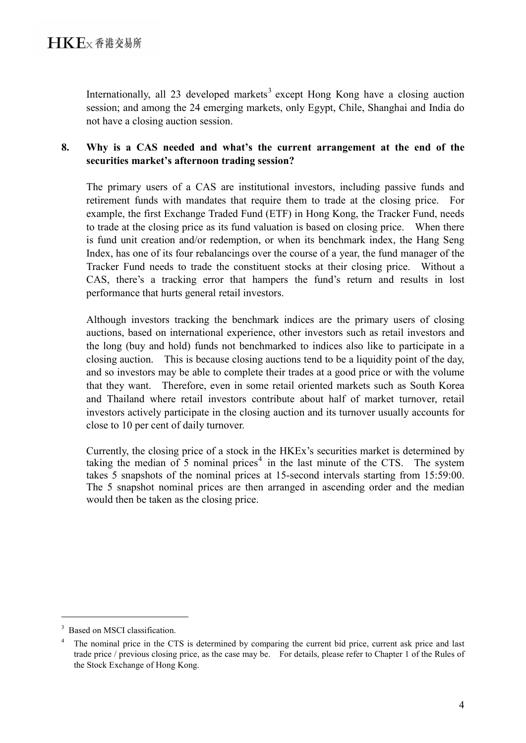Internationally, all 2[3](#page-2-0) developed markets<sup>3</sup> except Hong Kong have a closing auction session; and among the 24 emerging markets, only Egypt, Chile, Shanghai and India do not have a closing auction session.

## **8. Why is a CAS needed and what's the current arrangement at the end of the securities market's afternoon trading session?**

The primary users of a CAS are institutional investors, including passive funds and retirement funds with mandates that require them to trade at the closing price. For example, the first Exchange Traded Fund (ETF) in Hong Kong, the Tracker Fund, needs to trade at the closing price as its fund valuation is based on closing price. When there is fund unit creation and/or redemption, or when its benchmark index, the Hang Seng Index, has one of its four rebalancings over the course of a year, the fund manager of the Tracker Fund needs to trade the constituent stocks at their closing price. Without a CAS, there's a tracking error that hampers the fund's return and results in lost performance that hurts general retail investors.

Although investors tracking the benchmark indices are the primary users of closing auctions, based on international experience, other investors such as retail investors and the long (buy and hold) funds not benchmarked to indices also like to participate in a closing auction. This is because closing auctions tend to be a liquidity point of the day, and so investors may be able to complete their trades at a good price or with the volume that they want. Therefore, even in some retail oriented markets such as South Korea and Thailand where retail investors contribute about half of market turnover, retail investors actively participate in the closing auction and its turnover usually accounts for close to 10 per cent of daily turnover.

Currently, the closing price of a stock in the HKEx's securities market is determined by taking the median of 5 nominal prices<sup>[4](#page-3-0)</sup> in the last minute of the CTS. The system takes 5 snapshots of the nominal prices at 15-second intervals starting from 15:59:00. The 5 snapshot nominal prices are then arranged in ascending order and the median would then be taken as the closing price.

<sup>&</sup>lt;sup>3</sup> Based on MSCI classification.

<span id="page-3-1"></span><span id="page-3-0"></span>The nominal price in the CTS is determined by comparing the current bid price, current ask price and last trade price / previous closing price, as the case may be. For details, please refer to Chapter 1 of the Rules of the Stock Exchange of Hong Kong.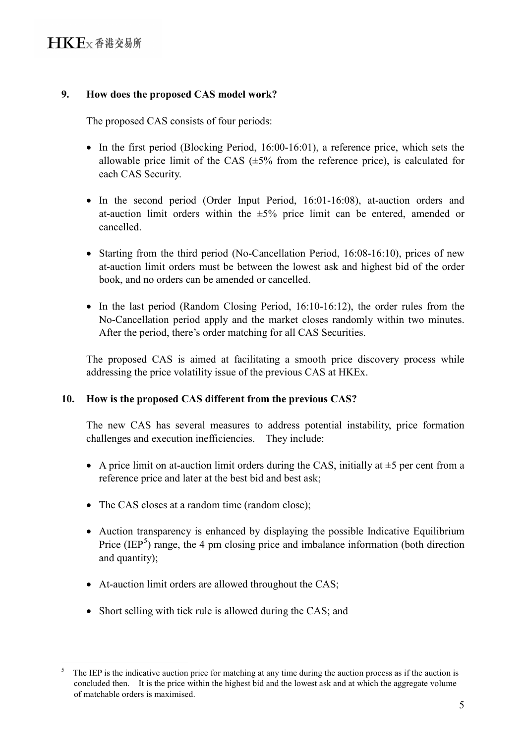## **9. How does the proposed CAS model work?**

The proposed CAS consists of four periods:

- In the first period (Blocking Period, 16:00-16:01), a reference price, which sets the allowable price limit of the CAS  $(\pm 5\%$  from the reference price), is calculated for each CAS Security.
- In the second period (Order Input Period, 16:01-16:08), at-auction orders and at-auction limit orders within the  $\pm 5\%$  price limit can be entered, amended or cancelled.
- Starting from the third period (No-Cancellation Period, 16:08-16:10), prices of new at-auction limit orders must be between the lowest ask and highest bid of the order book, and no orders can be amended or cancelled.
- In the last period (Random Closing Period, 16:10-16:12), the order rules from the No-Cancellation period apply and the market closes randomly within two minutes. After the period, there's order matching for all CAS Securities.

The proposed CAS is aimed at facilitating a smooth price discovery process while addressing the price volatility issue of the previous CAS at HKEx.

## **10. How is the proposed CAS different from the previous CAS?**

The new CAS has several measures to address potential instability, price formation challenges and execution inefficiencies. They include:

- A price limit on at-auction limit orders during the CAS, initially at  $\pm 5$  per cent from a reference price and later at the best bid and best ask;
- The CAS closes at a random time (random close);
- Auction transparency is enhanced by displaying the possible Indicative Equilibrium Price  $(IEP<sup>5</sup>)$  $(IEP<sup>5</sup>)$  $(IEP<sup>5</sup>)$  range, the 4 pm closing price and imbalance information (both direction and quantity);
- At-auction limit orders are allowed throughout the CAS:
- Short selling with tick rule is allowed during the CAS; and

<span id="page-4-0"></span> <sup>5</sup> The IEP is the indicative auction price for matching at any time during the auction process as if the auction is concluded then. It is the price within the highest bid and the lowest ask and at which the aggregate volume of matchable orders is maximised.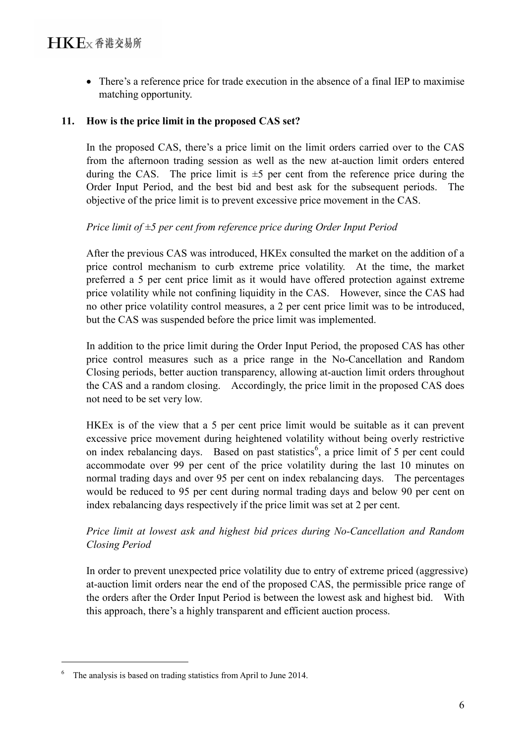• There's a reference price for trade execution in the absence of a final IEP to maximise matching opportunity.

### **11. How is the price limit in the proposed CAS set?**

In the proposed CAS, there's a price limit on the limit orders carried over to the CAS from the afternoon trading session as well as the new at-auction limit orders entered during the CAS. The price limit is  $\pm 5$  per cent from the reference price during the Order Input Period, and the best bid and best ask for the subsequent periods. The objective of the price limit is to prevent excessive price movement in the CAS.

### *Price limit of ±5 per cent from reference price during Order Input Period*

After the previous CAS was introduced, HKEx consulted the market on the addition of a price control mechanism to curb extreme price volatility. At the time, the market preferred a 5 per cent price limit as it would have offered protection against extreme price volatility while not confining liquidity in the CAS. However, since the CAS had no other price volatility control measures, a 2 per cent price limit was to be introduced, but the CAS was suspended before the price limit was implemented.

In addition to the price limit during the Order Input Period, the proposed CAS has other price control measures such as a price range in the No-Cancellation and Random Closing periods, better auction transparency, allowing at-auction limit orders throughout the CAS and a random closing. Accordingly, the price limit in the proposed CAS does not need to be set very low.

HKEx is of the view that a 5 per cent price limit would be suitable as it can prevent excessive price movement during heightened volatility without being overly restrictive on index rebalancing days. Based on past statistics<sup>[6](#page-4-0)</sup>, a price limit of 5 per cent could accommodate over 99 per cent of the price volatility during the last 10 minutes on normal trading days and over 95 per cent on index rebalancing days. The percentages would be reduced to 95 per cent during normal trading days and below 90 per cent on index rebalancing days respectively if the price limit was set at 2 per cent.

## *Price limit at lowest ask and highest bid prices during No-Cancellation and Random Closing Period*

In order to prevent unexpected price volatility due to entry of extreme priced (aggressive) at-auction limit orders near the end of the proposed CAS, the permissible price range of the orders after the Order Input Period is between the lowest ask and highest bid. With this approach, there's a highly transparent and efficient auction process.

 $\frac{1}{6}$ The analysis is based on trading statistics from April to June 2014.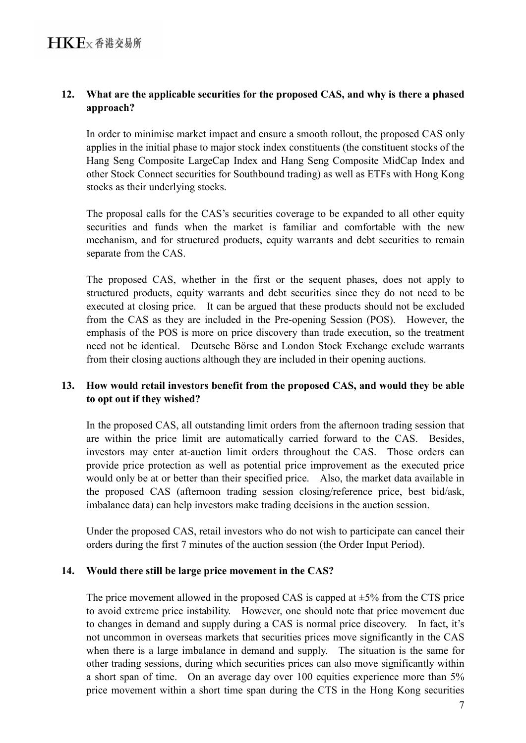## **12. What are the applicable securities for the proposed CAS, and why is there a phased approach?**

In order to minimise market impact and ensure a smooth rollout, the proposed CAS only applies in the initial phase to major stock index constituents (the constituent stocks of the Hang Seng Composite LargeCap Index and Hang Seng Composite MidCap Index and other Stock Connect securities for Southbound trading) as well as ETFs with Hong Kong stocks as their underlying stocks.

The proposal calls for the CAS's securities coverage to be expanded to all other equity securities and funds when the market is familiar and comfortable with the new mechanism, and for structured products, equity warrants and debt securities to remain separate from the CAS.

The proposed CAS, whether in the first or the sequent phases, does not apply to structured products, equity warrants and debt securities since they do not need to be executed at closing price. It can be argued that these products should not be excluded from the CAS as they are included in the Pre-opening Session (POS). However, the emphasis of the POS is more on price discovery than trade execution, so the treatment need not be identical. Deutsche Börse and London Stock Exchange exclude warrants from their closing auctions although they are included in their opening auctions.

### **13. How would retail investors benefit from the proposed CAS, and would they be able to opt out if they wished?**

In the proposed CAS, all outstanding limit orders from the afternoon trading session that are within the price limit are automatically carried forward to the CAS. Besides, investors may enter at-auction limit orders throughout the CAS. Those orders can provide price protection as well as potential price improvement as the executed price would only be at or better than their specified price. Also, the market data available in the proposed CAS (afternoon trading session closing/reference price, best bid/ask, imbalance data) can help investors make trading decisions in the auction session.

Under the proposed CAS, retail investors who do not wish to participate can cancel their orders during the first 7 minutes of the auction session (the Order Input Period).

#### **14. Would there still be large price movement in the CAS?**

The price movement allowed in the proposed CAS is capped at  $\pm$ 5% from the CTS price to avoid extreme price instability. However, one should note that price movement due to changes in demand and supply during a CAS is normal price discovery. In fact, it's not uncommon in overseas markets that securities prices move significantly in the CAS when there is a large imbalance in demand and supply. The situation is the same for other trading sessions, during which securities prices can also move significantly within a short span of time. On an average day over 100 equities experience more than 5% price movement within a short time span during the CTS in the Hong Kong securities